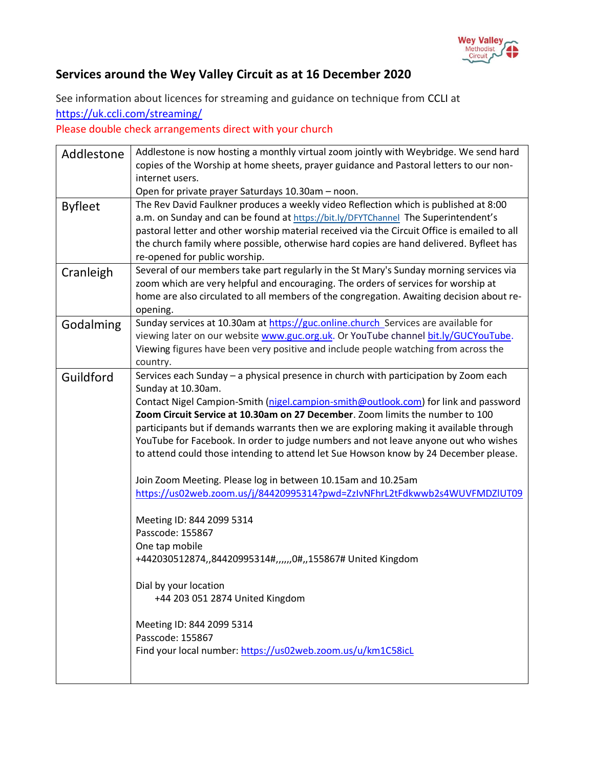

## **Services around the Wey Valley Circuit as at 16 December 2020**

See information about licences for streaming and guidance on technique from [CCLI](https://artserve.us8.list-manage.com/track/click?u=c2d1d9ca953fdf84333ea4bda&id=f3890112bb&e=05716758b6) at <https://uk.ccli.com/streaming/>

Please double check arrangements direct with your church

| Addlestone     | Addlestone is now hosting a monthly virtual zoom jointly with Weybridge. We send hard<br>copies of the Worship at home sheets, prayer guidance and Pastoral letters to our non-<br>internet users.                                                                                                                                                                                                                                                                                                                                                                                                                                                                                                                                                                                                                                                                                                                                                                                                                      |
|----------------|-------------------------------------------------------------------------------------------------------------------------------------------------------------------------------------------------------------------------------------------------------------------------------------------------------------------------------------------------------------------------------------------------------------------------------------------------------------------------------------------------------------------------------------------------------------------------------------------------------------------------------------------------------------------------------------------------------------------------------------------------------------------------------------------------------------------------------------------------------------------------------------------------------------------------------------------------------------------------------------------------------------------------|
|                | Open for private prayer Saturdays 10.30am - noon.                                                                                                                                                                                                                                                                                                                                                                                                                                                                                                                                                                                                                                                                                                                                                                                                                                                                                                                                                                       |
| <b>Byfleet</b> | The Rev David Faulkner produces a weekly video Reflection which is published at 8:00<br>a.m. on Sunday and can be found at https://bit.ly/DFYTChannel The Superintendent's<br>pastoral letter and other worship material received via the Circuit Office is emailed to all<br>the church family where possible, otherwise hard copies are hand delivered. Byfleet has<br>re-opened for public worship.                                                                                                                                                                                                                                                                                                                                                                                                                                                                                                                                                                                                                  |
| Cranleigh      | Several of our members take part regularly in the St Mary's Sunday morning services via<br>zoom which are very helpful and encouraging. The orders of services for worship at<br>home are also circulated to all members of the congregation. Awaiting decision about re-<br>opening.                                                                                                                                                                                                                                                                                                                                                                                                                                                                                                                                                                                                                                                                                                                                   |
| Godalming      | Sunday services at 10.30am at https://guc.online.church_Services are available for<br>viewing later on our website www.guc.org.uk. Or YouTube channel bit.ly/GUCYouTube.<br>Viewing figures have been very positive and include people watching from across the<br>country.                                                                                                                                                                                                                                                                                                                                                                                                                                                                                                                                                                                                                                                                                                                                             |
| Guildford      | Services each Sunday - a physical presence in church with participation by Zoom each<br>Sunday at 10.30am.<br>Contact Nigel Campion-Smith (nigel.campion-smith@outlook.com) for link and password<br>Zoom Circuit Service at 10.30am on 27 December. Zoom limits the number to 100<br>participants but if demands warrants then we are exploring making it available through<br>YouTube for Facebook. In order to judge numbers and not leave anyone out who wishes<br>to attend could those intending to attend let Sue Howson know by 24 December please.<br>Join Zoom Meeting. Please log in between 10.15am and 10.25am<br>https://us02web.zoom.us/j/84420995314?pwd=ZzIvNFhrL2tFdkwwb2s4WUVFMDZIUT09<br>Meeting ID: 844 2099 5314<br>Passcode: 155867<br>One tap mobile<br>+442030512874,,84420995314#,,,,,,0#,,155867# United Kingdom<br>Dial by your location<br>+44 203 051 2874 United Kingdom<br>Meeting ID: 844 2099 5314<br>Passcode: 155867<br>Find your local number: https://us02web.zoom.us/u/km1C58icL |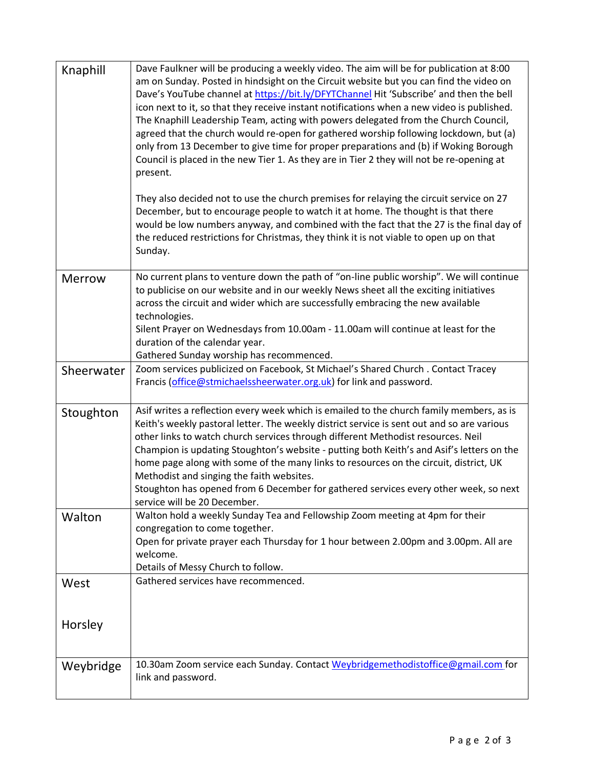| Knaphill      | Dave Faulkner will be producing a weekly video. The aim will be for publication at 8:00<br>am on Sunday. Posted in hindsight on the Circuit website but you can find the video on<br>Dave's YouTube channel at https://bit.ly/DFYTChannel Hit 'Subscribe' and then the bell<br>icon next to it, so that they receive instant notifications when a new video is published.<br>The Knaphill Leadership Team, acting with powers delegated from the Church Council,<br>agreed that the church would re-open for gathered worship following lockdown, but (a)<br>only from 13 December to give time for proper preparations and (b) if Woking Borough<br>Council is placed in the new Tier 1. As they are in Tier 2 they will not be re-opening at<br>present.<br>They also decided not to use the church premises for relaying the circuit service on 27 |
|---------------|-------------------------------------------------------------------------------------------------------------------------------------------------------------------------------------------------------------------------------------------------------------------------------------------------------------------------------------------------------------------------------------------------------------------------------------------------------------------------------------------------------------------------------------------------------------------------------------------------------------------------------------------------------------------------------------------------------------------------------------------------------------------------------------------------------------------------------------------------------|
|               | December, but to encourage people to watch it at home. The thought is that there<br>would be low numbers anyway, and combined with the fact that the 27 is the final day of<br>the reduced restrictions for Christmas, they think it is not viable to open up on that<br>Sunday.                                                                                                                                                                                                                                                                                                                                                                                                                                                                                                                                                                      |
| <b>Merrow</b> | No current plans to venture down the path of "on-line public worship". We will continue<br>to publicise on our website and in our weekly News sheet all the exciting initiatives<br>across the circuit and wider which are successfully embracing the new available<br>technologies.<br>Silent Prayer on Wednesdays from 10.00am - 11.00am will continue at least for the<br>duration of the calendar year.<br>Gathered Sunday worship has recommenced.                                                                                                                                                                                                                                                                                                                                                                                               |
| Sheerwater    | Zoom services publicized on Facebook, St Michael's Shared Church . Contact Tracey<br>Francis (office@stmichaelssheerwater.org.uk) for link and password.                                                                                                                                                                                                                                                                                                                                                                                                                                                                                                                                                                                                                                                                                              |
| Stoughton     | Asif writes a reflection every week which is emailed to the church family members, as is<br>Keith's weekly pastoral letter. The weekly district service is sent out and so are various<br>other links to watch church services through different Methodist resources. Neil<br>Champion is updating Stoughton's website - putting both Keith's and Asif's letters on the<br>home page along with some of the many links to resources on the circuit, district, UK<br>Methodist and singing the faith websites.<br>Stoughton has opened from 6 December for gathered services every other week, so next<br>service will be 20 December.                                                                                                                                                                                                                 |
| Walton        | Walton hold a weekly Sunday Tea and Fellowship Zoom meeting at 4pm for their<br>congregation to come together.<br>Open for private prayer each Thursday for 1 hour between 2.00pm and 3.00pm. All are<br>welcome.<br>Details of Messy Church to follow.                                                                                                                                                                                                                                                                                                                                                                                                                                                                                                                                                                                               |
| West          | Gathered services have recommenced.                                                                                                                                                                                                                                                                                                                                                                                                                                                                                                                                                                                                                                                                                                                                                                                                                   |
| Horsley       |                                                                                                                                                                                                                                                                                                                                                                                                                                                                                                                                                                                                                                                                                                                                                                                                                                                       |
| Weybridge     | 10.30am Zoom service each Sunday. Contact Weybridgemethodistoffice@gmail.com for<br>link and password.                                                                                                                                                                                                                                                                                                                                                                                                                                                                                                                                                                                                                                                                                                                                                |